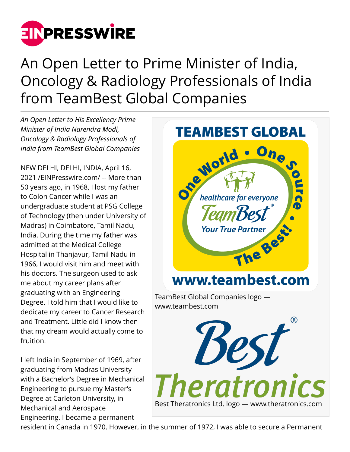

An Open Letter to Prime Minister of India, Oncology & Radiology Professionals of India from TeamBest Global Companies

*An Open Letter to His Excellency Prime Minister of India Narendra Modi, Oncology & Radiology Professionals of India from TeamBest Global Companies*

NEW DELHI, DELHI, INDIA, April 16, 2021 /[EINPresswire.com](http://www.einpresswire.com)/ -- More than 50 years ago, in 1968, I lost my father to Colon Cancer while I was an undergraduate student at PSG College of Technology (then under University of Madras) in Coimbatore, Tamil Nadu, India. During the time my father was admitted at the Medical College Hospital in Thanjavur, Tamil Nadu in 1966, I would visit him and meet with his doctors. The surgeon used to ask me about my career plans after graduating with an Engineering Degree. I told him that I would like to dedicate my career to Cancer Research and Treatment. Little did I know then that my dream would actually come to fruition.

I left India in September of 1969, after graduating from Madras University with a Bachelor's Degree in Mechanical Engineering to pursue my Master's Degree at Carleton University, in Mechanical and Aerospace Engineering. I became a permanent



resident in Canada in 1970. However, in the summer of 1972, I was able to secure a Permanent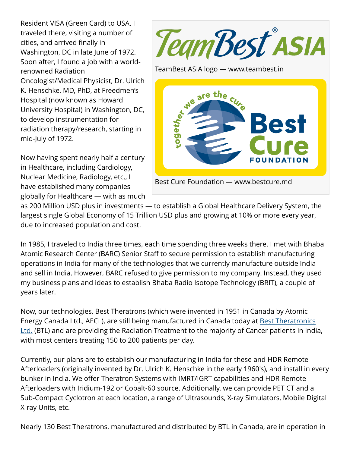Resident VISA (Green Card) to USA. I traveled there, visiting a number of cities, and arrived finally in Washington, DC in late June of 1972. Soon after, I found a job with a worldrenowned Radiation Oncologist/Medical Physicist, Dr. Ulrich K. Henschke, MD, PhD, at Freedmen's Hospital (now known as Howard University Hospital) in Washington, DC, to develop instrumentation for radiation therapy/research, starting in mid-July of 1972.

Now having spent nearly half a century in Healthcare, including Cardiology, Nuclear Medicine, Radiology, etc., I have established many companies globally for Healthcare — with as much TeamBest<sup>®</sup>ASIA

TeamBest ASIA logo — www.teambest.in



as 200 Million USD plus in investments — to establish a Global Healthcare Delivery System, the largest single Global Economy of 15 Trillion USD plus and growing at 10% or more every year, due to increased population and cost.

In 1985, I traveled to India three times, each time spending three weeks there. I met with Bhaba Atomic Research Center (BARC) Senior Staff to secure permission to establish manufacturing operations in India for many of the technologies that we currently manufacture outside India and sell in India. However, BARC refused to give permission to my company. Instead, they used my business plans and ideas to establish Bhaba Radio Isotope Technology (BRIT), a couple of years later.

Now, our technologies, Best Theratrons (which were invented in 1951 in Canada by Atomic Energy Canada Ltd., AECL), are still being manufactured in Canada today at [Best Theratronics](http://www.theratronics.com) [Ltd.](http://www.theratronics.com) (BTL) and are providing the Radiation Treatment to the majority of Cancer patients in India, with most centers treating 150 to 200 patients per day.

Currently, our plans are to establish our manufacturing in India for these and HDR Remote Afterloaders (originally invented by Dr. Ulrich K. Henschke in the early 1960's), and install in every bunker in India. We offer Theratron Systems with IMRT/IGRT capabilities and HDR Remote Afterloaders with Iridium-192 or Cobalt-60 source. Additionally, we can provide PET CT and a Sub-Compact Cyclotron at each location, a range of Ultrasounds, X-ray Simulators, Mobile Digital X-ray Units, etc.

Nearly 130 Best Theratrons, manufactured and distributed by BTL in Canada, are in operation in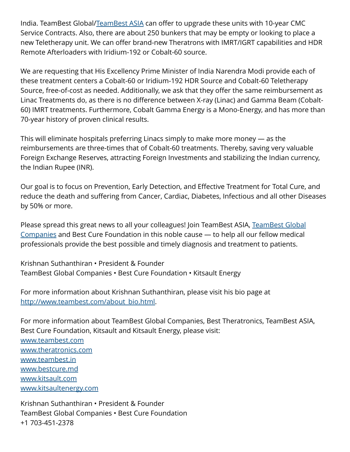India. TeamBest Global[/TeamBest ASIA](http://www.teambest.in) can offer to upgrade these units with 10-year CMC Service Contracts. Also, there are about 250 bunkers that may be empty or looking to place a new Teletherapy unit. We can offer brand-new Theratrons with IMRT/IGRT capabilities and HDR Remote Afterloaders with Iridium-192 or Cobalt-60 source.

We are requesting that His Excellency Prime Minister of India Narendra Modi provide each of these treatment centers a Cobalt-60 or Iridium-192 HDR Source and Cobalt-60 Teletherapy Source, free-of-cost as needed. Additionally, we ask that they offer the same reimbursement as Linac Treatments do, as there is no difference between X-ray (Linac) and Gamma Beam (Cobalt-60) IMRT treatments. Furthermore, Cobalt Gamma Energy is a Mono-Energy, and has more than 70-year history of proven clinical results.

This will eliminate hospitals preferring Linacs simply to make more money — as the reimbursements are three-times that of Cobalt-60 treatments. Thereby, saving very valuable Foreign Exchange Reserves, attracting Foreign Investments and stabilizing the Indian currency, the Indian Rupee (INR).

Our goal is to focus on Prevention, Early Detection, and Effective Treatment for Total Cure, and reduce the death and suffering from Cancer, Cardiac, Diabetes, Infectious and all other Diseases by 50% or more.

Please spread this great news to all your colleagues! Join TeamBest ASIA, [TeamBest Global](http://www.teambest.com) [Companies](http://www.teambest.com) and Best Cure Foundation in this noble cause — to help all our fellow medical professionals provide the best possible and timely diagnosis and treatment to patients.

Krishnan Suthanthiran • President & Founder TeamBest Global Companies • Best Cure Foundation • Kitsault Energy

For more information about Krishnan Suthanthiran, please visit his bio page at [http://www.teambest.com/about\\_bio.html](http://www.teambest.com/about_bio.html).

For more information about TeamBest Global Companies, Best Theratronics, TeamBest ASIA, Best Cure Foundation, Kitsault and Kitsault Energy, please visit: [www.teambest.com](http://www.teambest.com) [www.theratronics.com](http://www.theratronics.com) [www.teambest.in](http://www.teambest.in) [www.bestcure.md](http://www.bestcure.md) [www.kitsault.com](http://www.kitsault.com) [www.kitsaultenergy.com](http://www.kitsaultenergy.com)

Krishnan Suthanthiran • President & Founder TeamBest Global Companies • Best Cure Foundation +1 703-451-2378